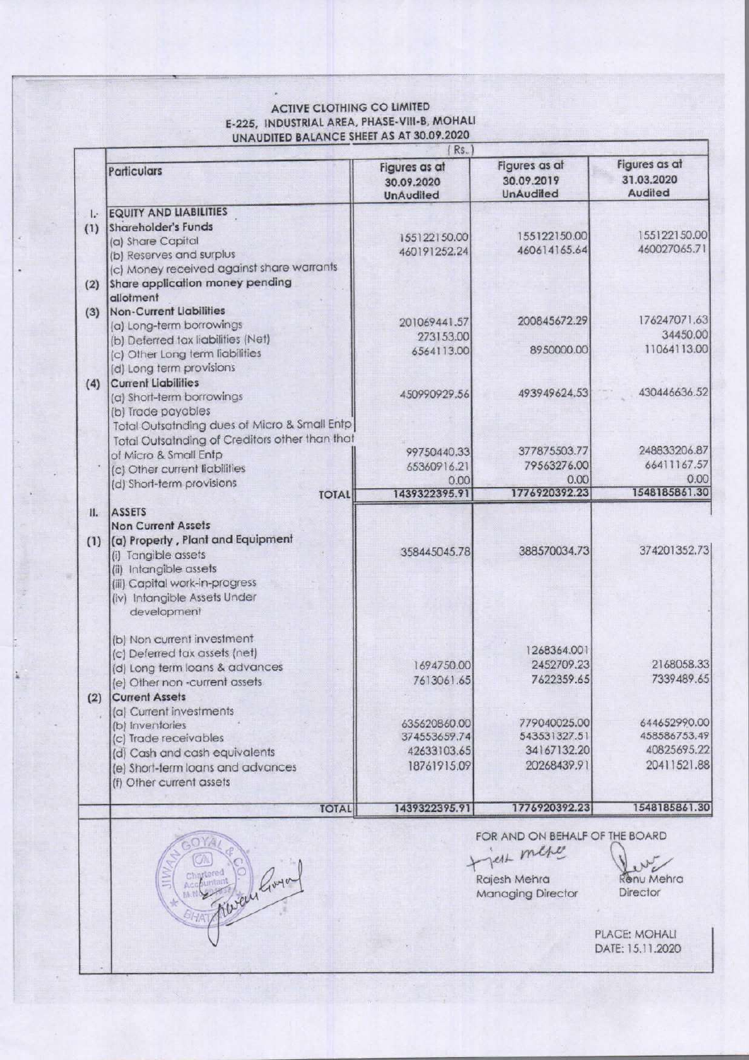## ACTIVE CLOTHING CO LIMITED E-225, INDUSTRIAL AREA, PHASE-VIII-B, MOHALI ACTIVE CLOTHING CO UNAUDITED BALANCE SHEET AS AT 30.09.2020 ACTIVE CLOTHING CO LIN<br>E-225, INDUSTRIAL AREA, PHASE-V<br>UNAUDITED BALANCE SHEET AS A

|              | <b>ACTIVE CLOTHING CO LIMITED</b><br>E-225, INDUSTRIAL AREA, PHASE-VIII-B, MOHALI |                                                 |                                                 |                              |
|--------------|-----------------------------------------------------------------------------------|-------------------------------------------------|-------------------------------------------------|------------------------------|
|              | UNAUDITED BALANCE SHEET AS AT 30.09.2020                                          | Rs.                                             |                                                 | Figures as at                |
|              | Particulars                                                                       | Figures as at<br>30.09.2020<br><b>UnAudited</b> | Figures as at<br>30.09.2019<br><b>UnAudiled</b> | 31.03.2020<br>Audited        |
| $\mathbf{L}$ | <b>EQUITY AND LIABILITIES</b><br>Shareholder's Funds                              |                                                 |                                                 |                              |
| (1)          | (a) Share Capital                                                                 | 155122150.00<br>460191252.24                    | 155122150.00<br>460614165.64                    | 155122150.00<br>460027065.71 |
|              | (b) Reserves and surplus<br>(c) Money received against share warrants             |                                                 |                                                 |                              |
|              | (2) Share application money pending<br>allotment                                  |                                                 |                                                 |                              |
| (3)          | <b>Non-Current Liabilities</b>                                                    |                                                 | 200845672.29                                    | 176247071.63                 |
|              | (a) Long-term borrowings<br>(b) Deferred tax liabilities (Net)                    | 201069441.57<br>273153.00                       |                                                 | 34450.00                     |
|              | (c) Other Long term liabilities                                                   | 6564113.00                                      | 8950000.00                                      | 11064113.00                  |
|              | (d) Long term provisions<br>(4) Current Liabilities                               |                                                 |                                                 |                              |
|              | (a) Short-term borrowings                                                         | 450990929.56                                    | 493949624.53                                    | 430446636.52                 |
|              | (b) Trade payables<br>Total Outsatnding dues of Micro & Small Entp                |                                                 |                                                 |                              |
|              | Total Outsatnding of Creditors other than that<br>of Micro & Small Entp           | 99750440.33                                     | 377875503.77                                    | 248833206.87                 |
|              | (c) Other current liabilities                                                     | 65360916.21                                     | 79563276.00                                     | 66411167.57                  |
|              | (d) Short-term provisions<br><b>TOTAL</b>                                         | 0.00<br>1439322395.91                           | 0.00<br>1776920392.23                           | 0.00<br>1548185861.30        |
| H.           | <b>ASSETS</b>                                                                     |                                                 |                                                 |                              |
|              | <b>Non Current Assets</b><br>(1) (a) Property, Plant and Equipment                |                                                 |                                                 |                              |
|              | (i) Tangible assets<br>(ii) Intangible assets                                     | 358445045.78                                    | 388570034.73                                    | 374201352.73                 |
|              | (iii) Capital work-in-progress                                                    |                                                 |                                                 |                              |
|              | (iv) Intangible Assets Under<br>development                                       |                                                 |                                                 |                              |
|              | (b) Non current investment                                                        |                                                 |                                                 |                              |
|              | (c) Deferred tax assets (net)                                                     | 1694750.00                                      | 1268364.001<br>2452709.23                       | 2168058.33                   |
|              | (d) Long term loans & advances<br>(e) Other non-current assets                    | 7613061.65                                      | 7622359.65                                      | 7339489.65                   |
| (2)          | <b>Current Assets</b><br>(a) Current investments                                  |                                                 |                                                 |                              |
|              | (b) Inventories                                                                   | 635620860.00<br>374553659.74                    | 779040025.00<br>543531327.51                    | 644652990.00<br>458586753.49 |
|              | (c) Trade receivables<br>(d) Cash and cash equivalents                            | 42633103.65                                     | 34167132.20                                     | 40825695.22                  |
|              | (e) Short-term loans and advances<br>(f) Other current assets                     | 18761915.09                                     | 20268439.91                                     | 20411521.88                  |
|              | <b>TOTAL</b>                                                                      | 1439322395.91                                   | 1776920392.23                                   | 1548185861.30                |
|              | OYA                                                                               |                                                 | FOR AND ON BEHALF OF THE BOARD                  |                              |
|              |                                                                                   |                                                 | Jest mese                                       |                              |
|              |                                                                                   |                                                 | Rajesh Mehra                                    | Renu Mehra                   |
|              |                                                                                   |                                                 | <b>Managing Director</b>                        | Director                     |
|              | MAY Robert Goran                                                                  |                                                 |                                                 | PLACE: MOHALI                |
|              |                                                                                   |                                                 |                                                 |                              |

enu Mehra **Director** 

I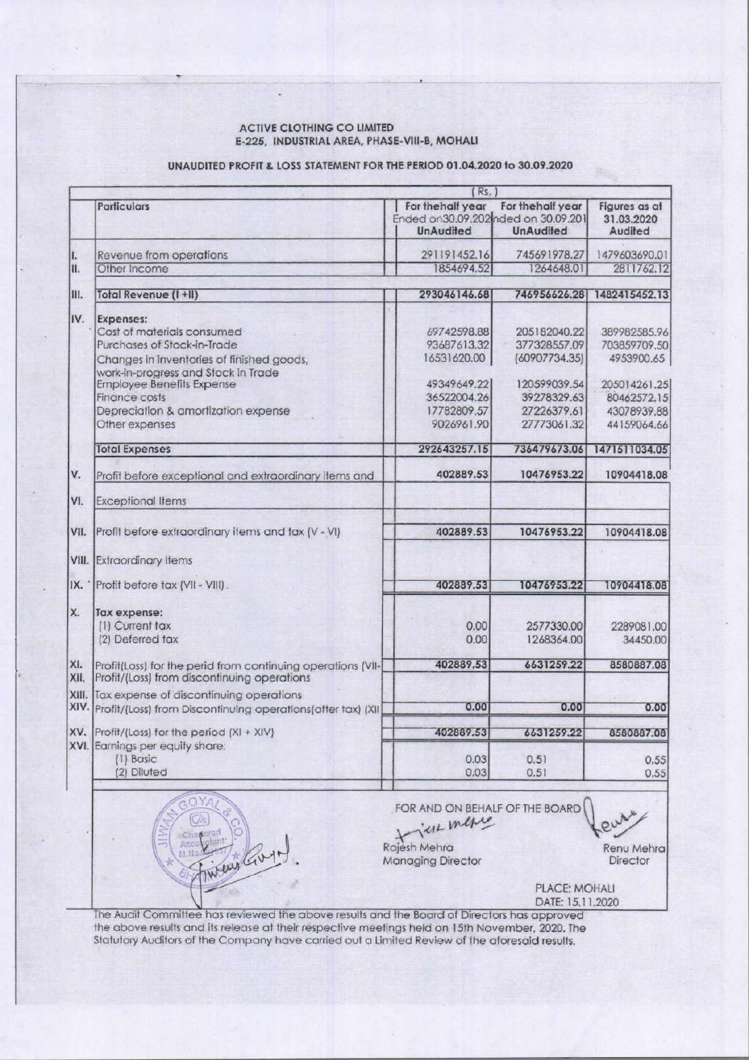## ACTIVE CLOTHING CO LIMITED E-225, INDUSTRIAL AREA, PHASE-VIII-B, MOHALI

## UNAUDITED PROFIT & LOSS STATEMENT FOR THE PERIOD 01.04.2020 to 30.09.2020

| <b>ACTIVE CLOTHING CO LIMITED</b><br>E-225, INDUSTRIAL AREA, PHASE-VIII-B, MOHALI                                   |                                                                               |                                                                                            |                                            |
|---------------------------------------------------------------------------------------------------------------------|-------------------------------------------------------------------------------|--------------------------------------------------------------------------------------------|--------------------------------------------|
| UNAUDITED PROFIT & LOSS STATEMENT FOR THE PERIOD 01.04.2020 to 30.09.2020                                           |                                                                               |                                                                                            |                                            |
|                                                                                                                     | (Rs.)                                                                         |                                                                                            | Figures as at                              |
| Particulars                                                                                                         | For the half year<br>Ended on 30.09.202 nded on 30.09.201<br><b>UnAudited</b> | For the half year<br><b>UnAudited</b>                                                      | 31.03.2020<br>Audited                      |
| Revenue from operations<br>Other Income                                                                             | 291191452.16<br>1854694.52                                                    | 745691978.27<br>1264648.01                                                                 | 1479603690.01<br>2811762.12                |
| Total Revenue (I+II)                                                                                                | 293046146.68                                                                  | 746956626.28                                                                               | 1482415452.13                              |
| Expenses:<br>Cost of materials consumed                                                                             |                                                                               |                                                                                            |                                            |
| Purchases of Stock-in-Trade<br>Changes in inventories of finished goods,                                            | 69742598.88<br>93687613.32<br>16531620.00                                     | 205182040.22<br>377328557.09<br>(60907734.35)                                              | 389982585.96<br>703859709.50<br>4953900.65 |
| work-in-progress and Stock in Trade<br><b>Employee Benefits Expense</b>                                             | 49349649.22                                                                   | 120599039.54                                                                               | 205014261.25                               |
| <b>Finance costs</b><br>Depreciation & amortization expense                                                         | 36522004.26<br>17782809.57                                                    | 39278329.63<br>27226379.61                                                                 | 80462572.15<br>43078939.88                 |
| Other expenses                                                                                                      | 9026961.90                                                                    | 27773061.32                                                                                | 44159064.66                                |
| <b>Total Expenses</b><br>Profit before exceptional and extraordinary items and                                      | 292643257.15<br>402889.53                                                     | 736479673.06<br>10476953.22                                                                | 1471511034.05<br>10904418.08               |
| <b>Exceptional Items</b>                                                                                            |                                                                               |                                                                                            |                                            |
| Profit before extraordinary items and tax (V - VI)<br>VII.                                                          | 402889.53                                                                     | 10476953.22                                                                                | 10904418.08                                |
| <b>VIII.</b> Extraordinary Items                                                                                    |                                                                               |                                                                                            |                                            |
| Profit before tax (VII - VIII).<br>IX.                                                                              | 402889.53                                                                     | 10476953.22                                                                                | 10904418.08                                |
| Tax expense:                                                                                                        |                                                                               |                                                                                            |                                            |
| (1) Current tax<br>(2) Deferred tax                                                                                 | 0.00<br>0.00                                                                  | 2577330.00<br>1268364.00                                                                   | 2289081.00<br>34450.00                     |
| Profit(Loss) for the perid from continuing operations [VII-]<br>Profit/(Loss) from discontinuing operations<br>XII. | 402889.53                                                                     | 6631259.22                                                                                 | 8580887.08                                 |
| XIII. Tax expense of discontinuing operations<br>XIV. Profit/(Loss) from Discontinuing operations (after tax) (XII] | 0.00                                                                          | 0.00                                                                                       | 0.00                                       |
| XV.<br>Profit/(Loss) for the period (XI + XIV)                                                                      | 402889.53                                                                     | 6631259.22                                                                                 | 8580887.08                                 |
| XVI. Earnings per equity share:<br>(1) Basic                                                                        | 0.03                                                                          | 0.51                                                                                       | 0.55                                       |
| (2) Diluted                                                                                                         | 0.03                                                                          | 0.51                                                                                       | 0.55                                       |
|                                                                                                                     | FOR AND ON BEHALF OF THE BOARD                                                |                                                                                            |                                            |
| ACCO<br>M:No                                                                                                        | THE merie<br>Rajesh Mehra                                                     |                                                                                            | Renu Mehra                                 |
|                                                                                                                     | <b>Managing Director</b>                                                      |                                                                                            | Director                                   |
|                                                                                                                     |                                                                               | PLACE: MOHALI<br>DATE: 15.11.2020                                                          |                                            |
| weigh                                                                                                               |                                                                               | The Audit Committee has reviewed the above results and the Board of Directors has approved |                                            |

J